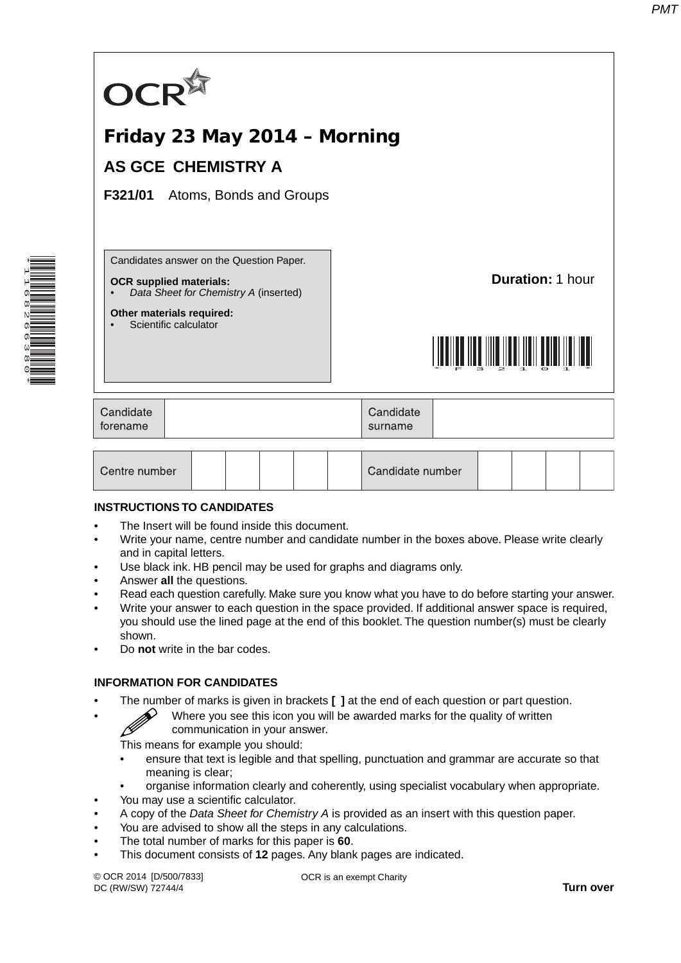

| Centre number |  |  |  |  |  | Candidate number |  |  |  |  |
|---------------|--|--|--|--|--|------------------|--|--|--|--|
|---------------|--|--|--|--|--|------------------|--|--|--|--|

## **INSTRUCTIONS TO CANDIDATES**

- The Insert will be found inside this document.
- Write your name, centre number and candidate number in the boxes above. Please write clearly and in capital letters.
- Use black ink. HB pencil may be used for graphs and diagrams only.
- Answer **all** the questions.
- Read each question carefully. Make sure you know what you have to do before starting your answer.
- Write your answer to each question in the space provided. If additional answer space is required, you should use the lined page at the end of this booklet. The question number(s) must be clearly shown.
- Do **not** write in the bar codes.

## **INFORMATION FOR CANDIDATES**

- The number of marks is given in brackets **[ ]** at the end of each question or part question.
	- Where you see this icon you will be awarded marks for the quality of written communication in your answer.

This means for example you should:

- ensure that text is legible and that spelling, punctuation and grammar are accurate so that meaning is clear;
- organise information clearly and coherently, using specialist vocabulary when appropriate.
- You may use a scientific calculator.
- A copy of the *Data Sheet for Chemistry A* is provided as an insert with this question paper.
- You are advised to show all the steps in any calculations.
- The total number of marks for this paper is **60**.
- This document consists of **12** pages. Any blank pages are indicated.

© OCR 2014 [D/500/7833] DC (RW/SW) 72744/4

OCR is an exempt Charity

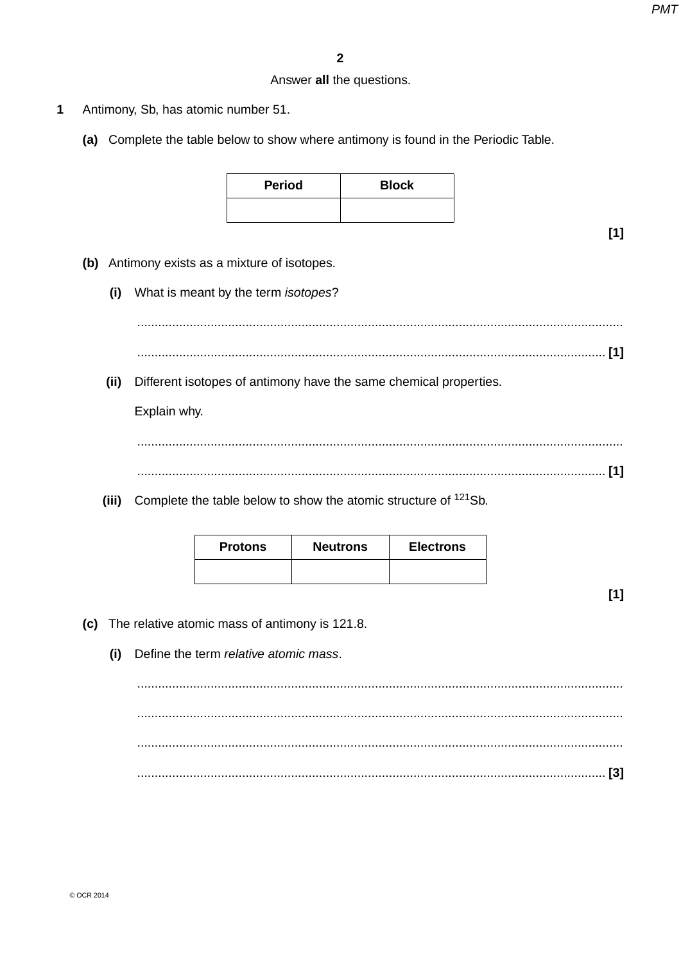# Answer all the questions.

- $\overline{\mathbf{1}}$ Antimony, Sb, has atomic number 51.
	- (a) Complete the table below to show where antimony is found in the Periodic Table.

| <b>Period</b> | <b>Block</b> |
|---------------|--------------|
|               |              |

 $[1]$ 

- (b) Antimony exists as a mixture of isotopes.
	- (i) What is meant by the term isotopes?

(ii) Different isotopes of antimony have the same chemical properties.

Explain why.

(iii) Complete the table below to show the atomic structure of  $121$ Sb.

| <b>Protons</b> | <b>Neutrons</b> | <b>Electrons</b> |
|----------------|-----------------|------------------|
|                |                 |                  |

 $[1]$ 

- (c) The relative atomic mass of antimony is 121.8.
	- Define the term relative atomic mass.  $(i)$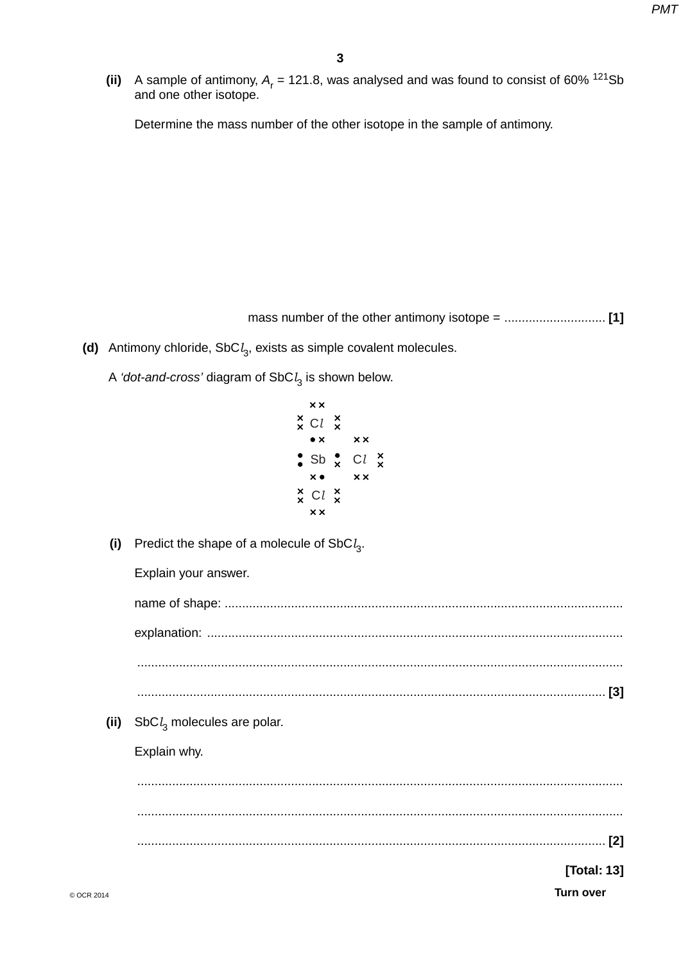(ii) A sample of antimony,  $A_r = 121.8$ , was analysed and was found to consist of 60% <sup>121</sup>Sb and one other isotope.

Determine the mass number of the other isotope in the sample of antimony.

- (d) Antimony chloride,  $SbCl_3$ , exists as simple covalent molecules.
	- A 'dot-and-cross' diagram of  $SbCl<sub>3</sub>$  is shown below.
		- $\times\times$  $\underset{\times}{\times}$  Cl  $\underset{\times}{\times}$  $\bullet \times$  $\times$   $\times$  $\cdot$  Sb  $\cdot$  Cl  $\times$  $\times \bullet$  $\times\times$  $\times$  Cl  $\times$  $\times \times$
	- (i) Predict the shape of a molecule of SbC $l_3$ .

Explain your answer.

(ii) SbC $l_3$  molecules are polar.

Explain why.

[Total: 13]

**Turn over**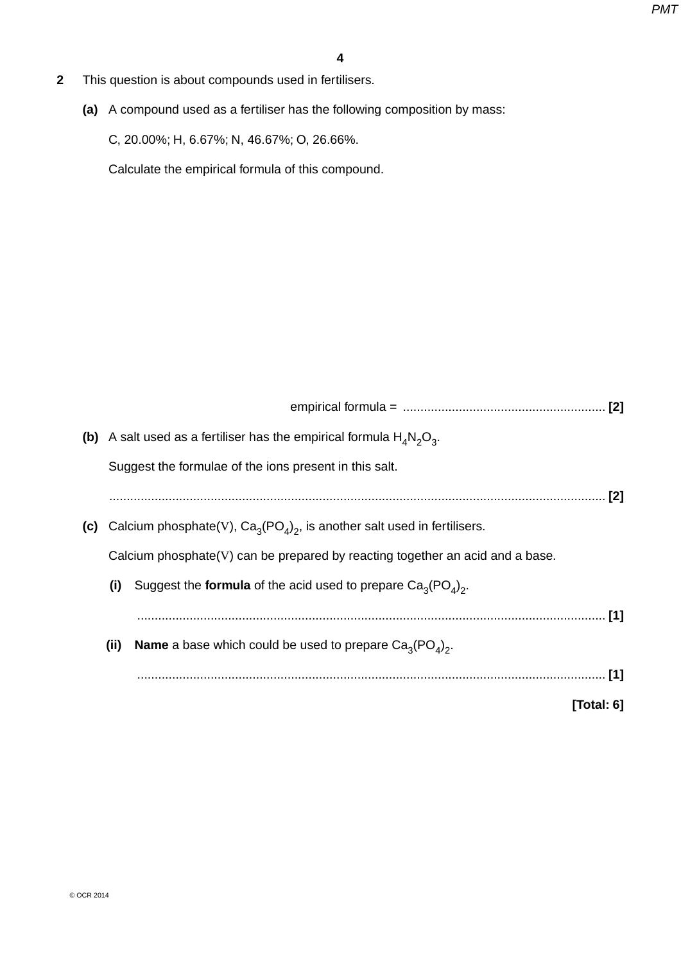- **2** This question is about compounds used in fertilisers.
	- **(a)** A compound used as a fertiliser has the following composition by mass:

C, 20.00%; H, 6.67%; N, 46.67%; O, 26.66%.

Calculate the empirical formula of this compound.

|     |      |                                                                               | [2]           |
|-----|------|-------------------------------------------------------------------------------|---------------|
|     |      | (b) A salt used as a fertiliser has the empirical formula $H_4N_2O_3$ .       |               |
|     |      | Suggest the formulae of the ions present in this salt.                        |               |
|     |      |                                                                               |               |
| (c) |      | Calcium phosphate(V), $Ca_3(PO_4)_2$ , is another salt used in fertilisers.   |               |
|     |      | Calcium phosphate(V) can be prepared by reacting together an acid and a base. |               |
|     | (i)  | Suggest the formula of the acid used to prepare $Ca_{3}(PO_{4})_{2}$ .        |               |
|     |      |                                                                               |               |
|     | (ii) | <b>Name</b> a base which could be used to prepare $Ca_{3}(PO_{4})_{2}$ .      |               |
|     |      |                                                                               |               |
|     |      |                                                                               | [Total: $6$ ] |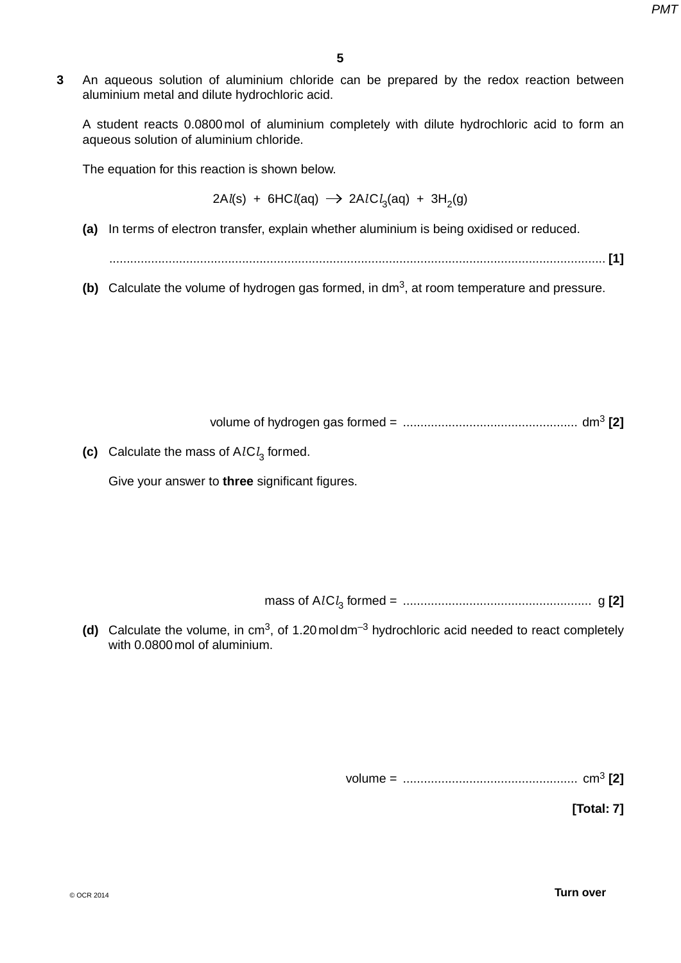**3** An aqueous solution of aluminium chloride can be prepared by the redox reaction between aluminium metal and dilute hydrochloric acid.

A student reacts 0.0800 mol of aluminium completely with dilute hydrochloric acid to form an aqueous solution of aluminium chloride.

The equation for this reaction is shown below.

2A*l*(s) + 6HC*l*(aq) → 2A*l*C*l*<sub>3</sub>(aq) + 3H<sub>2</sub>(g)

 **(a)** In terms of electron transfer, explain whether aluminium is being oxidised or reduced.

.............................................................................................................................................. **[1]**

**(b)** Calculate the volume of hydrogen gas formed, in dm<sup>3</sup>, at room temperature and pressure.

volume of hydrogen gas formed = .................................................. dm3 **[2]**

**(c)** Calculate the mass of  $AICl_3$  formed.

Give your answer to **three** significant figures.

mass of A*l* C*l* 3 formed = ...................................................... g **[2]**

(d) Calculate the volume, in cm<sup>3</sup>, of 1.20 moldm<sup>-3</sup> hydrochloric acid needed to react completely with 0.0800 mol of aluminium.

volume = .................................................. cm<sup>3</sup> **[2]**

**[Total: 7]**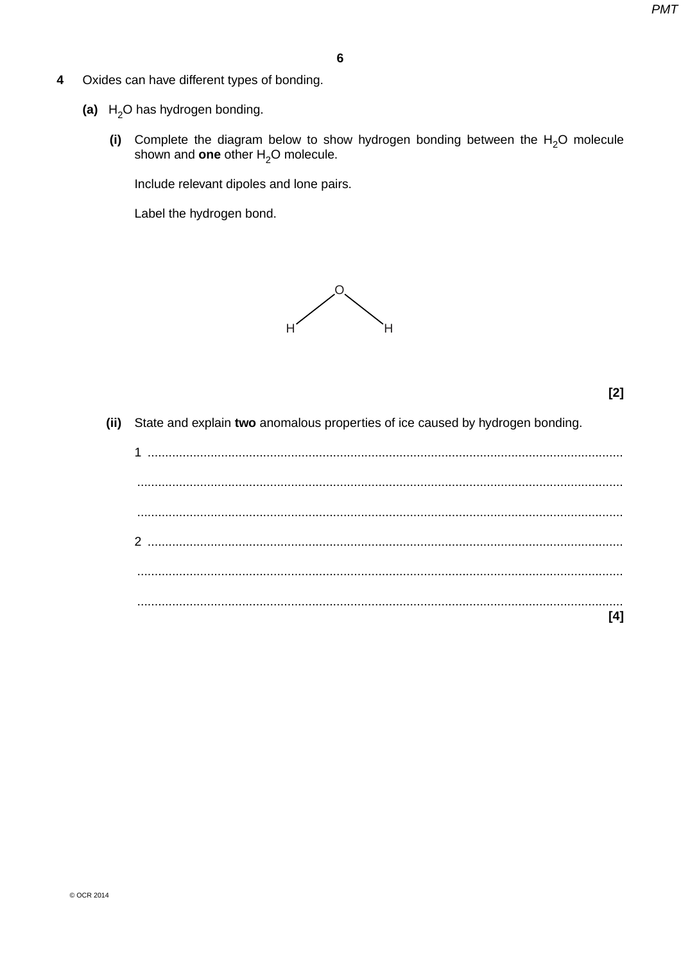- Oxides can have different types of bonding.  $\overline{\mathbf{4}}$ 
	- (a)  $H_2O$  has hydrogen bonding.
		- (i) Complete the diagram below to show hydrogen bonding between the  $H_2O$  molecule shown and one other  $H_2O$  molecule.

Include relevant dipoles and lone pairs.

Label the hydrogen bond.



 $[2]$ 

(ii) State and explain two anomalous properties of ice caused by hydrogen bonding.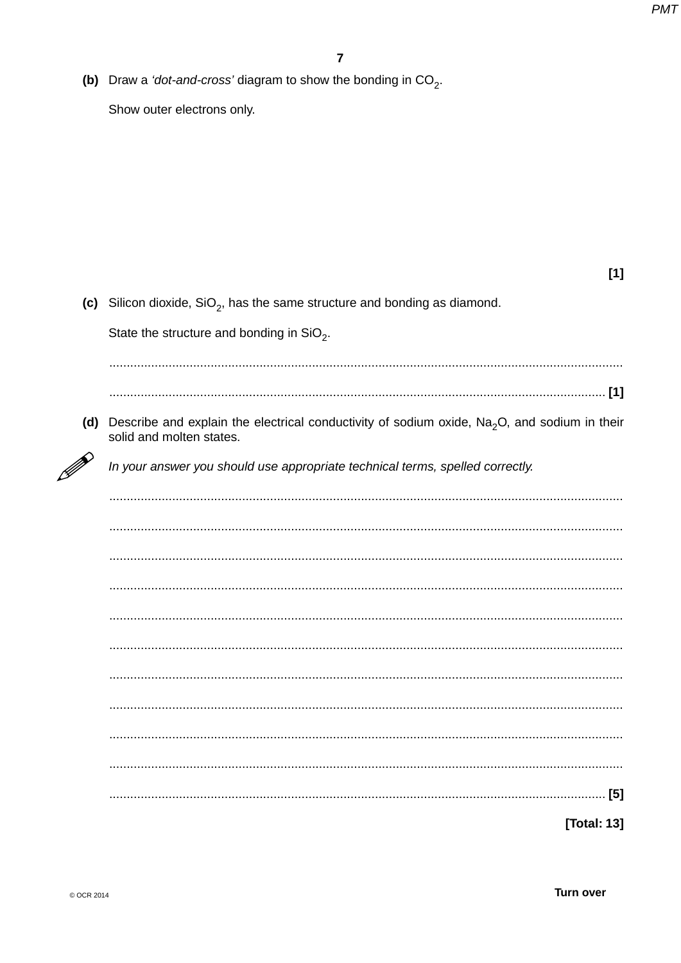(b) Draw a 'dot-and-cross' diagram to show the bonding in  $CO<sub>2</sub>$ .

Show outer electrons only.

| I |  |
|---|--|
|   |  |
|   |  |

| (c) Silicon dioxide, $SiO2$ , has the same structure and bonding as diamond.                                                   |
|--------------------------------------------------------------------------------------------------------------------------------|
| State the structure and bonding in $SiO2$ .                                                                                    |
|                                                                                                                                |
|                                                                                                                                |
| (d) Describe and explain the electrical conductivity of sodium oxide, $Na2O$ , and sodium in their<br>solid and molten states. |
| In your answer you should use appropriate technical terms, spelled correctly.                                                  |
|                                                                                                                                |
|                                                                                                                                |
|                                                                                                                                |
|                                                                                                                                |
|                                                                                                                                |
|                                                                                                                                |
|                                                                                                                                |
|                                                                                                                                |
|                                                                                                                                |
|                                                                                                                                |
|                                                                                                                                |
|                                                                                                                                |

[Total: 13]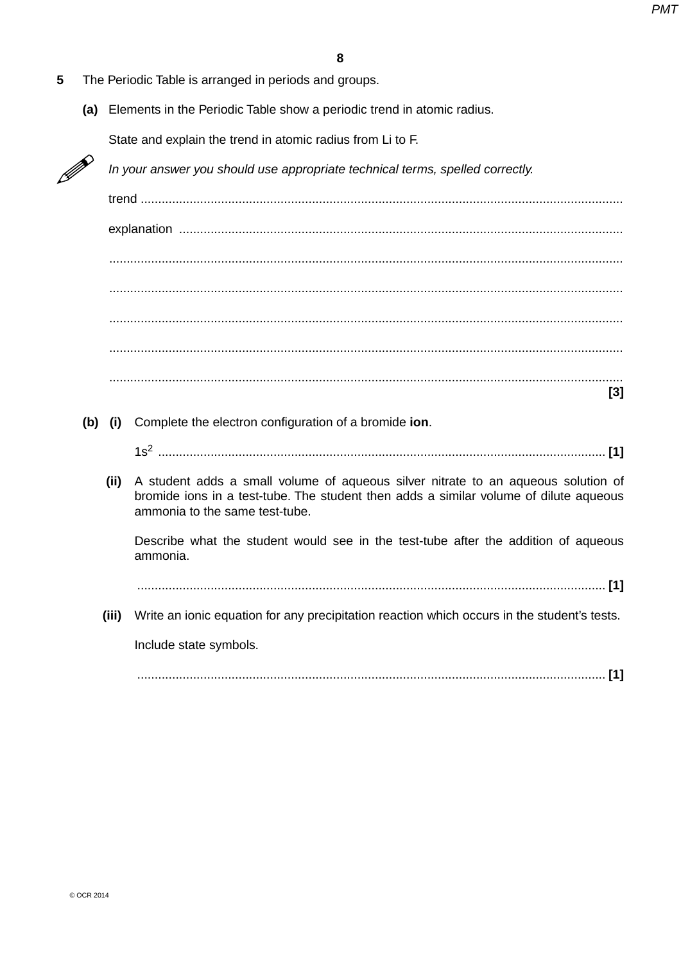- **5** The Periodic Table is arranged in periods and groups.
	- **(a)** Elements in the Periodic Table show a periodic trend in atomic radius.

State and explain the trend in atomic radius from Li to F.



*In your answer you should use appropriate technical terms, spelled correctly.*

trend .......................................................................................................................................... explanation ............................................................................................................................... ................................................................................................................................................... ................................................................................................................................................... ................................................................................................................................................... ................................................................................................................................................... ................................................................................................................................................... **[3]**

 **(b) (i)** Complete the electron configuration of a bromide **ion**.

1s2 ................................................................................................................................ **[1]**

 **(ii)** A student adds a small volume of aqueous silver nitrate to an aqueous solution of bromide ions in a test-tube. The student then adds a similar volume of dilute aqueous ammonia to the same test-tube.

Describe what the student would see in the test-tube after the addition of aqueous ammonia.

...................................................................................................................................... **[1]**

 **(iii)** Write an ionic equation for any precipitation reaction which occurs in the student's tests.

Include state symbols.

...................................................................................................................................... **[1]**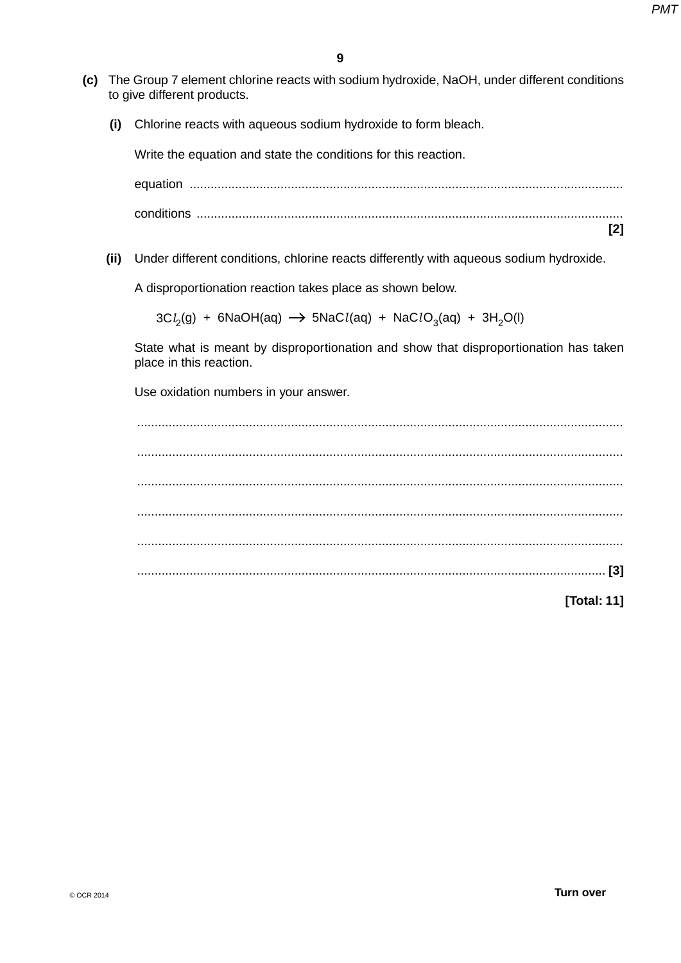- **(c)** The Group 7 element chlorine reacts with sodium hydroxide, NaOH, under different conditions to give different products.
	- **(i)** Chlorine reacts with aqueous sodium hydroxide to form bleach.

Write the equation and state the conditions for this reaction.

equation ............................................................................................................................ conditions .......................................................................................................................... **[2]**

 **(ii)** Under different conditions, chlorine reacts differently with aqueous sodium hydroxide.

A disproportionation reaction takes place as shown below.

3C*l<sub>2</sub>*(g) + 6NaOH(aq) → 5NaC*l*(aq) + NaC*l*O<sub>3</sub>(aq) + 3H<sub>2</sub>O(l)

State what is meant by disproportionation and show that disproportionation has taken place in this reaction.

Use oxidation numbers in your answer.

 ........................................................................................................................................... ........................................................................................................................................... ........................................................................................................................................... ........................................................................................................................................... ........................................................................................................................................... ...................................................................................................................................... **[3]**

**[Total: 11]**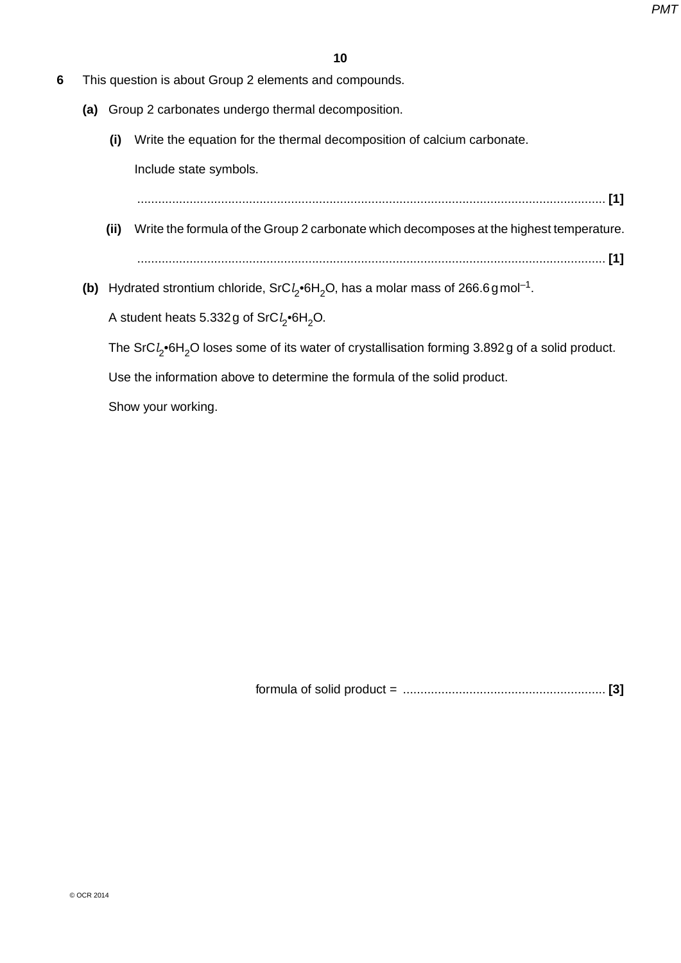- **6** This question is about Group 2 elements and compounds.
	- **(a)** Group 2 carbonates undergo thermal decomposition.
		- **(i)** Write the equation for the thermal decomposition of calcium carbonate.

Include state symbols.

...................................................................................................................................... **[1]**

- **(ii)** Write the formula of the Group 2 carbonate which decomposes at the highest temperature. ...................................................................................................................................... **[1]**
- **(b)** Hydrated strontium chloride, SrC $l_2$ •6H<sub>2</sub>O, has a molar mass of 266.6 $g$  mol<sup>-1</sup>.

A student heats 5.332 g of SrC*l* 2•6H2O.

The SrC*I*<sub>2</sub>•6H<sub>2</sub>O loses some of its water of crystallisation forming 3.892 g of a solid product.

Use the information above to determine the formula of the solid product.

Show your working.

formula of solid product = .......................................................... **[3]**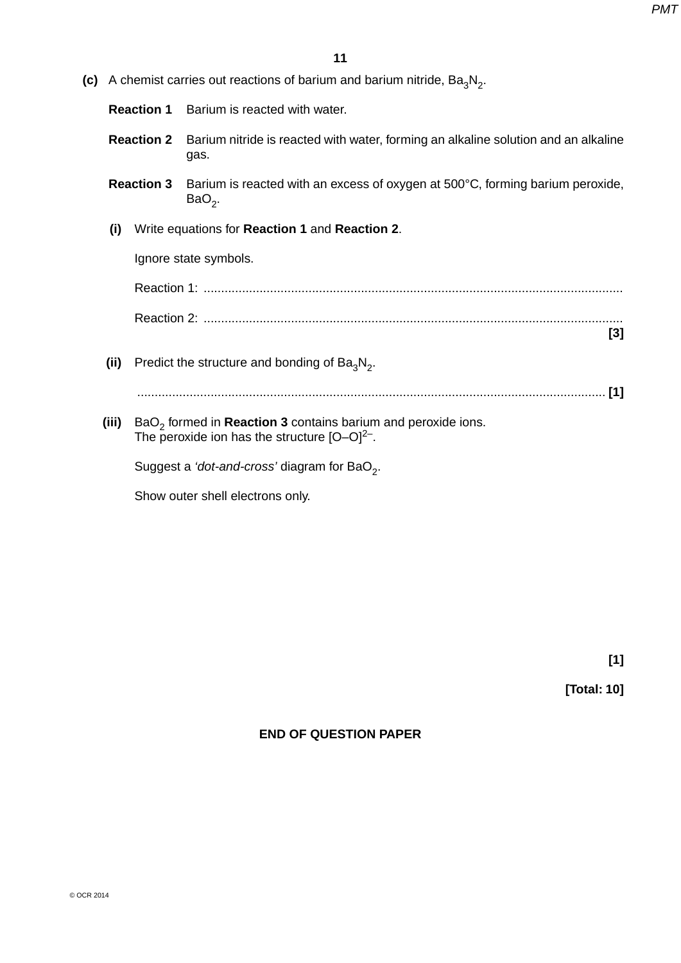| (c) A chemist carries out reactions of barium and barium nitride, $Ba3N2$ . |  |
|-----------------------------------------------------------------------------|--|
|-----------------------------------------------------------------------------|--|

**Reaction 1** Barium is reacted with water.

- **Reaction 2** Barium nitride is reacted with water, forming an alkaline solution and an alkaline gas.
- **Reaction 3** Barium is reacted with an excess of oxygen at 500°C, forming barium peroxide,  $BaO<sub>2</sub>$ .
- **(i)** Write equations for **Reaction 1** and **Reaction 2**.

Ignore state symbols.

Reaction 1: ........................................................................................................................ Reaction 2: ........................................................................................................................

- (ii) Predict the structure and bonding of  $Ba<sub>3</sub>N<sub>2</sub>$ . ...................................................................................................................................... **[1]**
- **(iii)**  $BaO<sub>2</sub>$  formed in **Reaction 3** contains barium and peroxide ions. The peroxide ion has the structure [O–O]<sup>2–</sup>.

Suggest a 'dot-and-cross' diagram for BaO<sub>2</sub>.

Show outer shell electrons only.

**[1]**

**[3]**

**[Total: 10]**

## **END OF QUESTION PAPER**